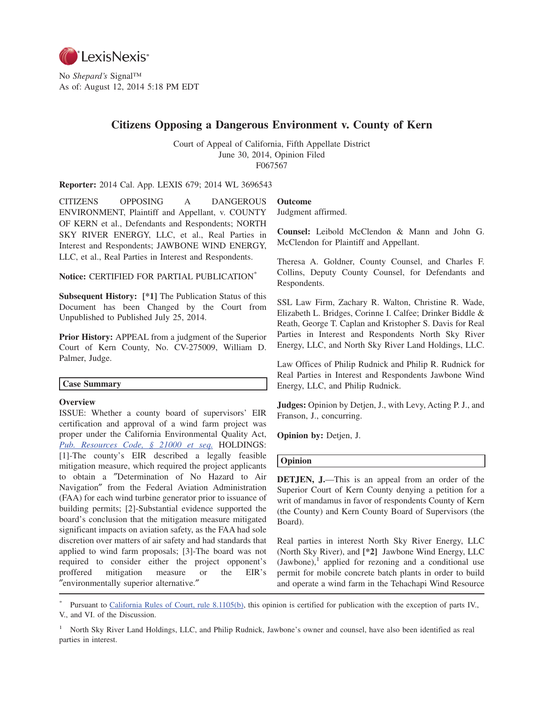

No *Shepard's* Signal™ As of: August 12, 2014 5:18 PM EDT

# **Citizens Opposing a Dangerous Environment v. County of Kern**

Court of Appeal of California, Fifth Appellate District June 30, 2014, Opinion Filed F067567

**Reporter:** 2014 Cal. App. LEXIS 679; 2014 WL 3696543

CITIZENS OPPOSING A DANGEROUS ENVIRONMENT, Plaintiff and Appellant, v. COUNTY OF KERN et al., Defendants and Respondents; NORTH SKY RIVER ENERGY, LLC, et al., Real Parties in Interest and Respondents; JAWBONE WIND ENERGY, LLC, et al., Real Parties in Interest and Respondents.

**Notice:** CERTIFIED FOR PARTIAL PUBLICATION\*

**Subsequent History: [\*1]** The Publication Status of this Document has been Changed by the Court from Unpublished to Published July 25, 2014.

**Prior History:** APPEAL from a judgment of the Superior Court of Kern County, No. CV-275009, William D. Palmer, Judge.

### **Case Summary**

### **Overview**

ISSUE: Whether a county board of supervisors' EIR certification and approval of a wind farm project was proper under the California Environmental Quality Act, *Pub. Resources Code, § 21000 et seq.* HOLDINGS: [1]-The county's EIR described a legally feasible mitigation measure, which required the project applicants to obtain a ″Determination of No Hazard to Air Navigation″ from the Federal Aviation Administration (FAA) for each wind turbine generator prior to issuance of building permits; [2]-Substantial evidence supported the board's conclusion that the mitigation measure mitigated significant impacts on aviation safety, as the FAA had sole discretion over matters of air safety and had standards that applied to wind farm proposals; [3]-The board was not required to consider either the project opponent's proffered mitigation measure or the EIR's ″environmentally superior alternative.″

# **Outcome**

Judgment affirmed.

**Counsel:** Leibold McClendon & Mann and John G. McClendon for Plaintiff and Appellant.

Theresa A. Goldner, County Counsel, and Charles F. Collins, Deputy County Counsel, for Defendants and Respondents.

SSL Law Firm, Zachary R. Walton, Christine R. Wade, Elizabeth L. Bridges, Corinne I. Calfee; Drinker Biddle & Reath, George T. Caplan and Kristopher S. Davis for Real Parties in Interest and Respondents North Sky River Energy, LLC, and North Sky River Land Holdings, LLC.

Law Offices of Philip Rudnick and Philip R. Rudnick for Real Parties in Interest and Respondents Jawbone Wind Energy, LLC, and Philip Rudnick.

**Judges:** Opinion by Detjen, J., with Levy, Acting P. J., and Franson, J., concurring.

**Opinion by:** Detjen, J.

### **Opinion**

**DETJEN, J.**—This is an appeal from an order of the Superior Court of Kern County denying a petition for a writ of mandamus in favor of respondents County of Kern (the County) and Kern County Board of Supervisors (the Board).

Real parties in interest North Sky River Energy, LLC (North Sky River), and **[\*2]** Jawbone Wind Energy, LLC  $(Jawbone)$ , applied for rezoning and a conditional use permit for mobile concrete batch plants in order to build and operate a wind farm in the Tehachapi Wind Resource

Pursuant to California Rules of Court, rule 8.1105(b), this opinion is certified for publication with the exception of parts IV., V., and VI. of the Discussion.

<sup>1</sup> North Sky River Land Holdings, LLC, and Philip Rudnick, Jawbone's owner and counsel, have also been identified as real parties in interest.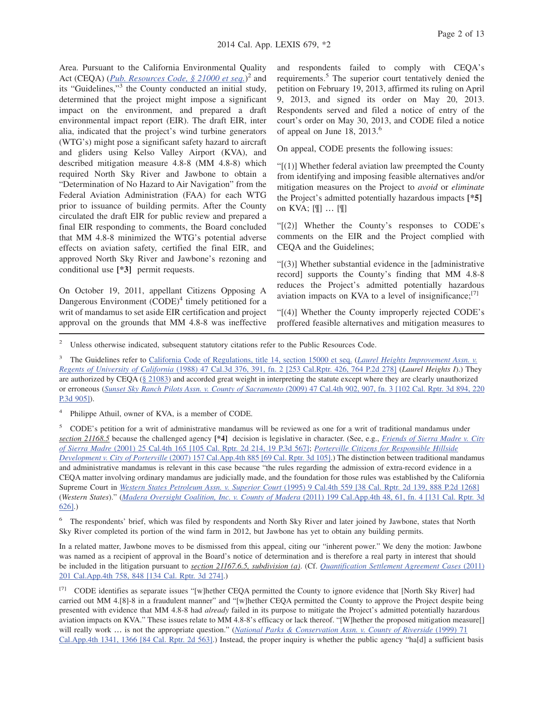Area. Pursuant to the California Environmental Quality Act (CEQA) (*Pub. Resources Code, § 21000 et seq.*) <sup>2</sup> and its "Guidelines,"3 the County conducted an initial study, determined that the project might impose a significant impact on the environment, and prepared a draft environmental impact report (EIR). The draft EIR, inter alia, indicated that the project's wind turbine generators (WTG's) might pose a significant safety hazard to aircraft and gliders using Kelso Valley Airport (KVA), and described mitigation measure 4.8-8 (MM 4.8-8) which required North Sky River and Jawbone to obtain a "Determination of No Hazard to Air Navigation" from the Federal Aviation Administration (FAA) for each WTG prior to issuance of building permits. After the County circulated the draft EIR for public review and prepared a final EIR responding to comments, the Board concluded that MM 4.8-8 minimized the WTG's potential adverse effects on aviation safety, certified the final EIR, and approved North Sky River and Jawbone's rezoning and conditional use **[\*3]** permit requests.

On October 19, 2011, appellant Citizens Opposing A Dangerous Environment  $(CODE)^4$  timely petitioned for a writ of mandamus to set aside EIR certification and project approval on the grounds that MM 4.8-8 was ineffective

and respondents failed to comply with CEQA's requirements.5 The superior court tentatively denied the petition on February 19, 2013, affirmed its ruling on April 9, 2013, and signed its order on May 20, 2013. Respondents served and filed a notice of entry of the court's order on May 30, 2013, and CODE filed a notice of appeal on June 18,  $2013<sup>6</sup>$ 

On appeal, CODE presents the following issues:

" $(1)$ ] Whether federal aviation law preempted the County from identifying and imposing feasible alternatives and/or mitigation measures on the Project to *avoid* or *eliminate* the Project's admitted potentially hazardous impacts **[\*5]** on KVA; [¶] … [¶]

"[(2)] Whether the County's responses to CODE's comments on the EIR and the Project complied with CEQA and the Guidelines;

"[(3)] Whether substantial evidence in the [administrative record] supports the County's finding that MM 4.8-8 reduces the Project's admitted potentially hazardous aviation impacts on KVA to a level of insignificance; $\frac{[7]}{[7]}$ 

"[(4)] Whether the County improperly rejected CODE's proffered feasible alternatives and mitigation measures to

<sup>2</sup> Unless otherwise indicated, subsequent statutory citations refer to the Public Resources Code.

<sup>3</sup> The Guidelines refer to California Code of Regulations, title 14, section 15000 et seq. (*Laurel Heights Improvement Assn. v. Regents of University of California* (1988) 47 Cal.3d 376, 391, fn. 2 [253 Cal.Rptr. 426, 764 P.2d 278] (*Laurel Heights I*).) They are authorized by CEQA (§ 21083) and accorded great weight in interpreting the statute except where they are clearly unauthorized or erroneous (*Sunset Sky Ranch Pilots Assn. v. County of Sacramento* (2009) 47 Cal.4th 902, 907, fn. 3 [102 Cal. Rptr. 3d 894, 220 P.3d 905]).

Philippe Athuil, owner of KVA, is a member of CODE.

<sup>5</sup> CODE's petition for a writ of administrative mandamus will be reviewed as one for a writ of traditional mandamus under *section 21168.5* because the challenged agency **[\*4]** decision is legislative in character. (See, e.g., *Friends of Sierra Madre v. City of Sierra Madre* (2001) 25 Cal.4th 165 [105 Cal. Rptr. 2d 214, 19 P.3d 567]; *Porterville Citizens for Responsible Hillside Development v. City of Porterville* (2007) 157 Cal.App.4th 885 [69 Cal. Rptr. 3d 105].) The distinction between traditional mandamus and administrative mandamus is relevant in this case because "the rules regarding the admission of extra-record evidence in a CEQA matter involving ordinary mandamus are judicially made, and the foundation for those rules was established by the California Supreme Court in *Western States Petroleum Assn. v. Superior Court* (1995) 9 Cal.4th 559 [38 Cal. Rptr. 2d 139, 888 P.2d 1268] (*Western States*)." (*Madera Oversight Coalition, Inc. v. County of Madera* (2011) 199 Cal.App.4th 48, 61, fn. 4 [131 Cal. Rptr. 3d 626].)

<sup>6</sup> The respondents' brief, which was filed by respondents and North Sky River and later joined by Jawbone, states that North Sky River completed its portion of the wind farm in 2012, but Jawbone has yet to obtain any building permits.

In a related matter, Jawbone moves to be dismissed from this appeal, citing our "inherent power." We deny the motion: Jawbone was named as a recipient of approval in the Board's notice of determination and is therefore a real party in interest that should be included in the litigation pursuant to *section 21167.6.5, subdivision (a)*. (Cf. *Quantification Settlement Agreement Cases* (2011) 201 Cal.App.4th 758, 848 [134 Cal. Rptr. 3d 274].)

[7] CODE identifies as separate issues "[w]hether CEQA permitted the County to ignore evidence that [North Sky River] had carried out MM 4.[8]-8 in a fraudulent manner" and "[w]hether CEQA permitted the County to approve the Project despite being presented with evidence that MM 4.8-8 had *already* failed in its purpose to mitigate the Project's admitted potentially hazardous aviation impacts on KVA." These issues relate to MM 4.8-8's efficacy or lack thereof. "[W]hether the proposed mitigation measure[] will really work ... is not the appropriate question." (*National Parks & Conservation Assn. v. County of Riverside* (1999) 71 Cal.App.4th 1341, 1366 [84 Cal. Rptr. 2d 563].) Instead, the proper inquiry is whether the public agency "ha[d] a sufficient basis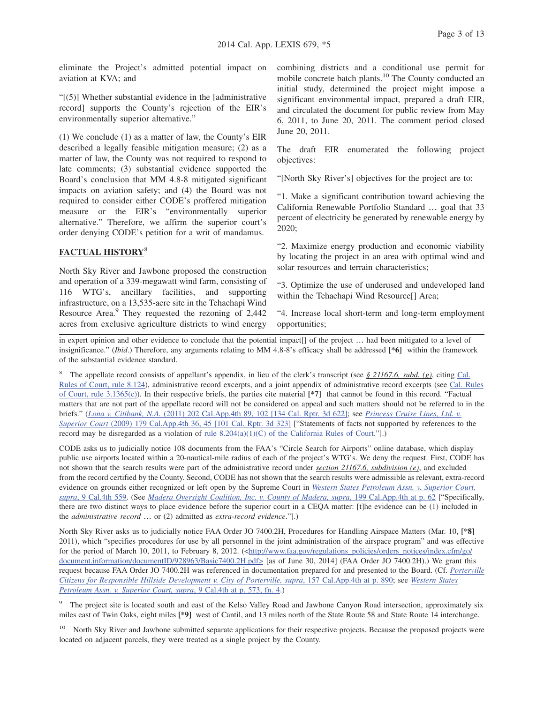eliminate the Project's admitted potential impact on aviation at KVA; and

"[(5)] Whether substantial evidence in the [administrative record] supports the County's rejection of the EIR's environmentally superior alternative."

(1) We conclude (1) as a matter of law, the County's EIR described a legally feasible mitigation measure; (2) as a matter of law, the County was not required to respond to late comments; (3) substantial evidence supported the Board's conclusion that MM 4.8-8 mitigated significant impacts on aviation safety; and (4) the Board was not required to consider either CODE's proffered mitigation measure or the EIR's "environmentally superior alternative." Therefore, we affirm the superior court's order denying CODE's petition for a writ of mandamus.

### **FACTUAL HISTORY**<sup>8</sup>

North Sky River and Jawbone proposed the construction and operation of a 339-megawatt wind farm, consisting of 116 WTG's, ancillary facilities, and supporting infrastructure, on a 13,535-acre site in the Tehachapi Wind Resource Area.<sup>9</sup> They requested the rezoning of 2,442 acres from exclusive agriculture districts to wind energy

combining districts and a conditional use permit for mobile concrete batch plants.<sup>10</sup> The County conducted an initial study, determined the project might impose a significant environmental impact, prepared a draft EIR, and circulated the document for public review from May 6, 2011, to June 20, 2011. The comment period closed June 20, 2011.

The draft EIR enumerated the following project objectives:

"[North Sky River's] objectives for the project are to:

"1. Make a significant contribution toward achieving the California Renewable Portfolio Standard … goal that 33 percent of electricity be generated by renewable energy by 2020;

"2. Maximize energy production and economic viability by locating the project in an area with optimal wind and solar resources and terrain characteristics;

"3. Optimize the use of underused and undeveloped land within the Tehachapi Wind Resource[] Area;

"4. Increase local short-term and long-term employment opportunities;

in expert opinion and other evidence to conclude that the potential impact[] of the project … had been mitigated to a level of insignificance." (*Ibid*.) Therefore, any arguments relating to MM 4.8-8's efficacy shall be addressed **[\*6]** within the framework of the substantial evidence standard.

<sup>8</sup> The appellate record consists of appellant's appendix, in lieu of the clerk's transcript (see *§ 21167.6, subd. (g)*, citing Cal. Rules of Court, rule 8.124), administrative record excerpts, and a joint appendix of administrative record excerpts (see Cal. Rules of Court, rule 3.1365(c)). In their respective briefs, the parties cite material **[\*7]** that cannot be found in this record. "Factual matters that are not part of the appellate record will not be considered on appeal and such matters should not be referred to in the briefs." (*Lona v. Citibank, N.A.* (2011) 202 Cal.App.4th 89, 102 [134 Cal. Rptr. 3d 622]; see *Princess Cruise Lines, Ltd. v. Superior Court* (2009) 179 Cal.App.4th 36, 45 [101 Cal. Rptr. 3d 323] ["Statements of facts not supported by references to the record may be disregarded as a violation of <u>rule 8.204(a)(1)(C)</u> of the California Rules of Court."].)

CODE asks us to judicially notice 108 documents from the FAA's "Circle Search for Airports" online database, which display public use airports located within a 20-nautical-mile radius of each of the project's WTG's. We deny the request. First, CODE has not shown that the search results were part of the administrative record under *section 21167.6, subdivision (e)*, and excluded from the record certified by the County. Second, CODE has not shown that the search results were admissible as relevant, extra-record evidence on grounds either recognized or left open by the Supreme Court in *Western States Petroleum Assn. v. Superior Court, supra*, 9 Cal.4th 559. (See *Madera Oversight Coalition, Inc. v. County of Madera, supra*, 199 Cal.App.4th at p. 62 ["Specifically, there are two distinct ways to place evidence before the superior court in a CEQA matter: [t]he evidence can be (1) included in the *administrative record* … or (2) admitted as *extra-record evidence*."].)

North Sky River asks us to judicially notice FAA Order JO 7400.2H, Procedures for Handling Airspace Matters (Mar. 10, **[\*8]** 2011), which "specifies procedures for use by all personnel in the joint administration of the airspace program" and was effective for the period of March 10, 2011, to February 8, 2012. (<http://www.faa.gov/regulations\_policies/orders\_notices/index.cfm/go/ document.information/documentID/928963/Basic7400.2H.pdf> [as of June 30, 2014] (FAA Order JO 7400.2H).) We grant this request because FAA Order JO 7400.2H was referenced in documentation prepared for and presented to the Board. (Cf. *Porterville Citizens for Responsible Hillside Development v. City of Porterville, supra*, 157 Cal.App.4th at p. 890; see *Western States Petroleum Assn. v. Superior Court, supra*, 9 Cal.4th at p. 573, fn. 4.)

<sup>&</sup>lt;sup>9</sup> The project site is located south and east of the Kelso Valley Road and Jawbone Canyon Road intersection, approximately six miles east of Twin Oaks, eight miles **[\*9]** west of Cantil, and 13 miles north of the State Route 58 and State Route 14 interchange.

<sup>&</sup>lt;sup>10</sup> North Sky River and Jawbone submitted separate applications for their respective projects. Because the proposed projects were located on adjacent parcels, they were treated as a single project by the County.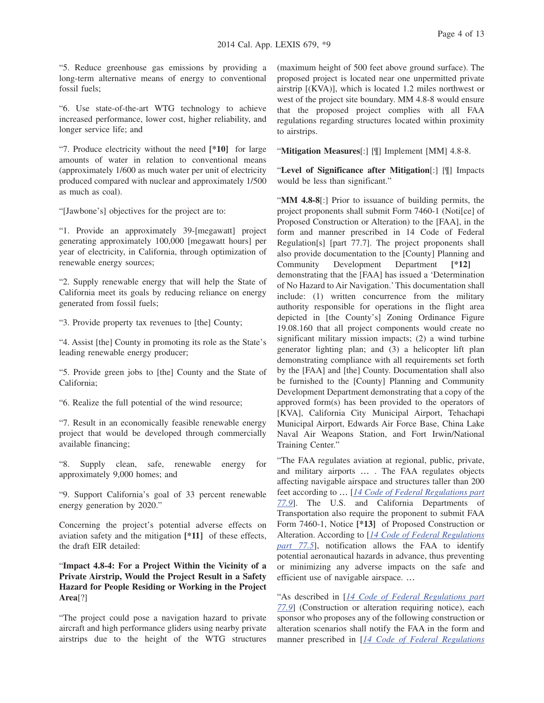"5. Reduce greenhouse gas emissions by providing a long-term alternative means of energy to conventional fossil fuels;

"6. Use state-of-the-art WTG technology to achieve increased performance, lower cost, higher reliability, and longer service life; and

"7. Produce electricity without the need **[\*10]** for large amounts of water in relation to conventional means (approximately 1/600 as much water per unit of electricity produced compared with nuclear and approximately 1/500 as much as coal).

"[Jawbone's] objectives for the project are to:

"1. Provide an approximately 39-[megawatt] project generating approximately 100,000 [megawatt hours] per year of electricity, in California, through optimization of renewable energy sources;

"2. Supply renewable energy that will help the State of California meet its goals by reducing reliance on energy generated from fossil fuels;

"3. Provide property tax revenues to [the] County;

"4. Assist [the] County in promoting its role as the State's leading renewable energy producer;

"5. Provide green jobs to [the] County and the State of California;

"6. Realize the full potential of the wind resource;

"7. Result in an economically feasible renewable energy project that would be developed through commercially available financing;

"8. Supply clean, safe, renewable energy for approximately 9,000 homes; and

"9. Support California's goal of 33 percent renewable energy generation by 2020."

Concerning the project's potential adverse effects on aviation safety and the mitigation **[\*11]** of these effects, the draft EIR detailed:

"**Impact 4.8-4: For a Project Within the Vicinity of a Private Airstrip, Would the Project Result in a Safety Hazard for People Residing or Working in the Project Area**[?]

"The project could pose a navigation hazard to private aircraft and high performance gliders using nearby private airstrips due to the height of the WTG structures (maximum height of 500 feet above ground surface). The proposed project is located near one unpermitted private airstrip [(KVA)], which is located 1.2 miles northwest or west of the project site boundary. MM 4.8-8 would ensure that the proposed project complies with all FAA regulations regarding structures located within proximity to airstrips.

"**Mitigation Measures**[:] [¶] Implement [MM] 4.8-8.

"**Level of Significance after Mitigation**[:] [¶] Impacts would be less than significant."

"**MM 4.8-8**[:] Prior to issuance of building permits, the project proponents shall submit Form 7460-1 (Noti[ce] of Proposed Construction or Alteration) to the [FAA], in the form and manner prescribed in 14 Code of Federal Regulation[s] [part 77.7]. The project proponents shall also provide documentation to the [County] Planning and Community Development Department **[\*12]** demonstrating that the [FAA] has issued a 'Determination of No Hazard to Air Navigation.' This documentation shall include: (1) written concurrence from the military authority responsible for operations in the flight area depicted in [the County's] Zoning Ordinance Figure 19.08.160 that all project components would create no significant military mission impacts; (2) a wind turbine generator lighting plan; and (3) a helicopter lift plan demonstrating compliance with all requirements set forth by the [FAA] and [the] County. Documentation shall also be furnished to the [County] Planning and Community Development Department demonstrating that a copy of the approved form(s) has been provided to the operators of [KVA], California City Municipal Airport, Tehachapi Municipal Airport, Edwards Air Force Base, China Lake Naval Air Weapons Station, and Fort Irwin/National Training Center."

"The FAA regulates aviation at regional, public, private, and military airports … . The FAA regulates objects affecting navigable airspace and structures taller than 200 feet according to … [*14 Code of Federal Regulations part 77.9*]. The U.S. and California Departments of Transportation also require the proponent to submit FAA Form 7460-1, Notice **[\*13]** of Proposed Construction or Alteration. According to [*14 Code of Federal Regulations part 77.5*], notification allows the FAA to identify potential aeronautical hazards in advance, thus preventing or minimizing any adverse impacts on the safe and efficient use of navigable airspace. …

"As described in [*14 Code of Federal Regulations part 77.9*] (Construction or alteration requiring notice), each sponsor who proposes any of the following construction or alteration scenarios shall notify the FAA in the form and manner prescribed in [*14 Code of Federal Regulations*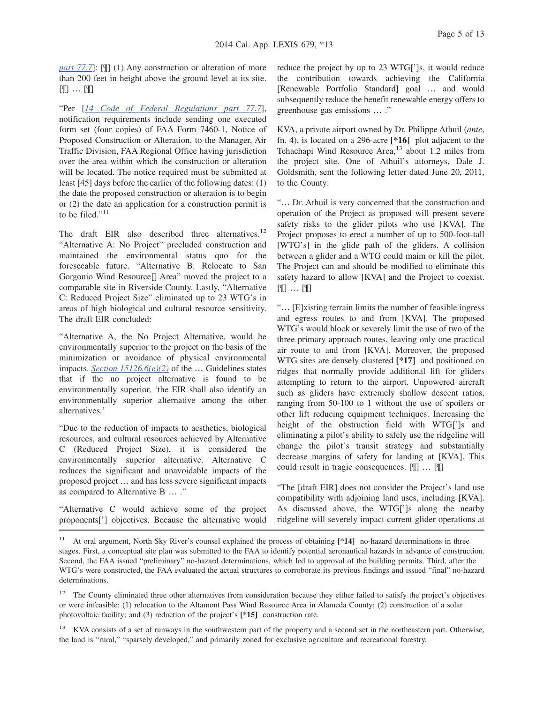*part 77.7*]: [[[] (1) Any construction or alteration of more than 200 feet in height above the ground level at its site. [¶] … [¶]

"Per [*14 Code of Federal Regulations part 77.7*], notification requirements include sending one executed form set (four copies) of FAA Form 7460-1, Notice of Proposed Construction or Alteration, to the Manager, Air Traffic Division, FAA Regional Office having jurisdiction over the area within which the construction or alteration will be located. The notice required must be submitted at least [45] days before the earlier of the following dates: (1) the date the proposed construction or alteration is to begin or (2) the date an application for a construction permit is to be filed."<sup>11</sup>

The draft EIR also described three alternatives.<sup>12</sup> "Alternative A: No Project" precluded construction and maintained the environmental status quo for the foreseeable future. "Alternative B: Relocate to San Gorgonio Wind Resource[] Area" moved the project to a comparable site in Riverside County. Lastly, "Alternative C: Reduced Project Size" eliminated up to 23 WTG's in areas of high biological and cultural resource sensitivity. The draft EIR concluded:

"Alternative A, the No Project Alternative, would be environmentally superior to the project on the basis of the minimization or avoidance of physical environmental impacts. *Section 15126.6(e)(2)* of the … Guidelines states that if the no project alternative is found to be environmentally superior, 'the EIR shall also identify an environmentally superior alternative among the other alternatives.'

"Due to the reduction of impacts to aesthetics, biological resources, and cultural resources achieved by Alternative C (Reduced Project Size), it is considered the environmentally superior alternative. Alternative C reduces the significant and unavoidable impacts of the proposed project … and has less severe significant impacts as compared to Alternative B … ."

"Alternative C would achieve some of the project proponents['] objectives. Because the alternative would reduce the project by up to 23 WTG[']s, it would reduce the contribution towards achieving the California [Renewable Portfolio Standard] goal … and would subsequently reduce the benefit renewable energy offers to greenhouse gas emissions … ."

KVA, a private airport owned by Dr. Philippe Athuil (*ante*, fn. 4), is located on a 296-acre **[\*16]** plot adjacent to the Tehachapi Wind Resource Area, $13$  about 1.2 miles from the project site. One of Athuil's attorneys, Dale J. Goldsmith, sent the following letter dated June 20, 2011, to the County:

"… Dr. Athuil is very concerned that the construction and operation of the Project as proposed will present severe safety risks to the glider pilots who use [KVA]. The Project proposes to erect a number of up to 500-foot-tall [WTG's] in the glide path of the gliders. A collision between a glider and a WTG could maim or kill the pilot. The Project can and should be modified to eliminate this safety hazard to allow [KVA] and the Project to coexist. [¶] … [¶]

"… [E]xisting terrain limits the number of feasible ingress and egress routes to and from [KVA]. The proposed WTG's would block or severely limit the use of two of the three primary approach routes, leaving only one practical air route to and from [KVA]. Moreover, the proposed WTG sites are densely clustered **[\*17]** and positioned on ridges that normally provide additional lift for gliders attempting to return to the airport. Unpowered aircraft such as gliders have extremely shallow descent ratios, ranging from 50-100 to 1 without the use of spoilers or other lift reducing equipment techniques. Increasing the height of the obstruction field with WTG[']s and eliminating a pilot's ability to safely use the ridgeline will change the pilot's transit strategy and substantially decrease margins of safety for landing at [KVA]. This could result in tragic consequences. [¶] … [¶]

"The [draft EIR] does not consider the Project's land use compatibility with adjoining land uses, including [KVA]. As discussed above, the WTG[']s along the nearby ridgeline will severely impact current glider operations at

<sup>&</sup>lt;sup>11</sup> At oral argument, North Sky River's counsel explained the process of obtaining [\*14] no-hazard determinations in three stages. First, a conceptual site plan was submitted to the FAA to identify potential aeronautical hazards in advance of construction. Second, the FAA issued "preliminary" no-hazard determinations, which led to approval of the building permits. Third, after the WTG's were constructed, the FAA evaluated the actual structures to corroborate its previous findings and issued "final" no-hazard determinations.

<sup>&</sup>lt;sup>12</sup> The County eliminated three other alternatives from consideration because they either failed to satisfy the project's objectives or were infeasible: (1) relocation to the Altamont Pass Wind Resource Area in Alameda County; (2) construction of a solar photovoltaic facility; and (3) reduction of the project's **[\*15]** construction rate.

<sup>&</sup>lt;sup>13</sup> KVA consists of a set of runways in the southwestern part of the property and a second set in the northeastern part. Otherwise, the land is "rural," "sparsely developed," and primarily zoned for exclusive agriculture and recreational forestry.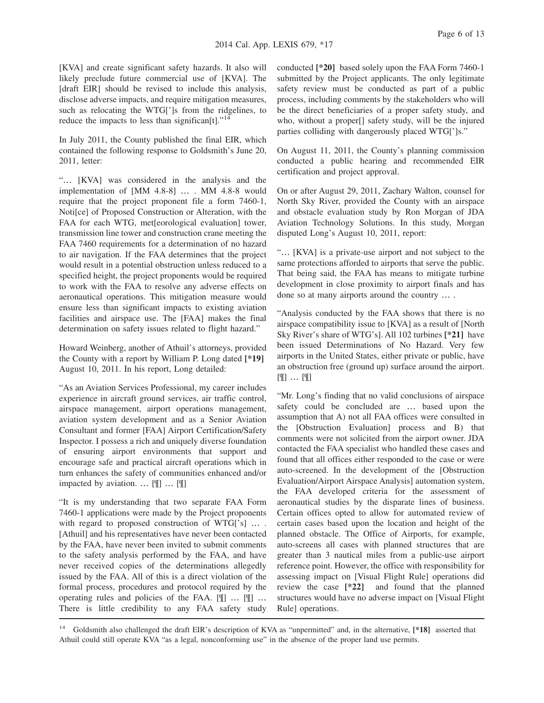[KVA] and create significant safety hazards. It also will likely preclude future commercial use of [KVA]. The [draft EIR] should be revised to include this analysis, disclose adverse impacts, and require mitigation measures, such as relocating the WTG[']s from the ridgelines, to reduce the impacts to less than significan[t]."<sup>14</sup>

In July 2011, the County published the final EIR, which contained the following response to Goldsmith's June 20, 2011, letter:

"… [KVA] was considered in the analysis and the implementation of [MM 4.8-8] … . MM 4.8-8 would require that the project proponent file a form 7460-1, Noti[ce] of Proposed Construction or Alteration, with the FAA for each WTG, met[eorological evaluation] tower, transmission line tower and construction crane meeting the FAA 7460 requirements for a determination of no hazard to air navigation. If the FAA determines that the project would result in a potential obstruction unless reduced to a specified height, the project proponents would be required to work with the FAA to resolve any adverse effects on aeronautical operations. This mitigation measure would ensure less than significant impacts to existing aviation facilities and airspace use. The [FAA] makes the final determination on safety issues related to flight hazard."

Howard Weinberg, another of Athuil's attorneys, provided the County with a report by William P. Long dated **[\*19]** August 10, 2011. In his report, Long detailed:

"As an Aviation Services Professional, my career includes experience in aircraft ground services, air traffic control, airspace management, airport operations management, aviation system development and as a Senior Aviation Consultant and former [FAA] Airport Certification/Safety Inspector. I possess a rich and uniquely diverse foundation of ensuring airport environments that support and encourage safe and practical aircraft operations which in turn enhances the safety of communities enhanced and/or impacted by aviation. … [¶] … [¶]

"It is my understanding that two separate FAA Form 7460-1 applications were made by the Project proponents with regard to proposed construction of WTG['s] .... [Athuil] and his representatives have never been contacted by the FAA, have never been invited to submit comments to the safety analysis performed by the FAA, and have never received copies of the determinations allegedly issued by the FAA. All of this is a direct violation of the formal process, procedures and protocol required by the operating rules and policies of the FAA. [¶] … [¶] … There is little credibility to any FAA safety study

conducted **[\*20]** based solely upon the FAA Form 7460-1 submitted by the Project applicants. The only legitimate safety review must be conducted as part of a public process, including comments by the stakeholders who will be the direct beneficiaries of a proper safety study, and who, without a proper[] safety study, will be the injured parties colliding with dangerously placed WTG[']s."

On August 11, 2011, the County's planning commission conducted a public hearing and recommended EIR certification and project approval.

On or after August 29, 2011, Zachary Walton, counsel for North Sky River, provided the County with an airspace and obstacle evaluation study by Ron Morgan of JDA Aviation Technology Solutions. In this study, Morgan disputed Long's August 10, 2011, report:

"… [KVA] is a private-use airport and not subject to the same protections afforded to airports that serve the public. That being said, the FAA has means to mitigate turbine development in close proximity to airport finals and has done so at many airports around the country … .

"Analysis conducted by the FAA shows that there is no airspace compatibility issue to [KVA] as a result of [North Sky River's share of WTG's]. All 102 turbines **[\*21]** have been issued Determinations of No Hazard. Very few airports in the United States, either private or public, have an obstruction free (ground up) surface around the airport. [¶] … [¶]

"Mr. Long's finding that no valid conclusions of airspace safety could be concluded are … based upon the assumption that A) not all FAA offices were consulted in the [Obstruction Evaluation] process and B) that comments were not solicited from the airport owner. JDA contacted the FAA specialist who handled these cases and found that all offices either responded to the case or were auto-screened. In the development of the [Obstruction Evaluation/Airport Airspace Analysis] automation system, the FAA developed criteria for the assessment of aeronautical studies by the disparate lines of business. Certain offices opted to allow for automated review of certain cases based upon the location and height of the planned obstacle. The Office of Airports, for example, auto-screens all cases with planned structures that are greater than 3 nautical miles from a public-use airport reference point. However, the office with responsibility for assessing impact on [Visual Flight Rule] operations did review the case **[\*22]** and found that the planned structures would have no adverse impact on [Visual Flight Rule] operations.

<sup>14</sup> Goldsmith also challenged the draft EIR's description of KVA as "unpermitted" and, in the alternative, **[\*18]** asserted that Athuil could still operate KVA "as a legal, nonconforming use" in the absence of the proper land use permits.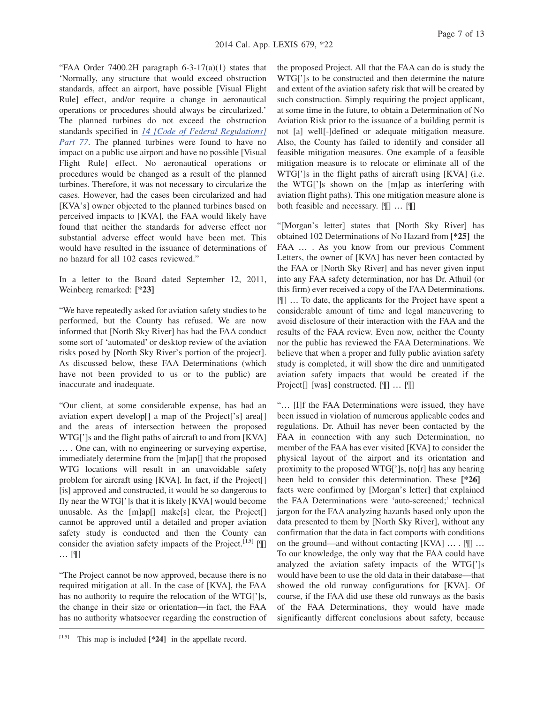"FAA Order 7400.2H paragraph  $6-3-17(a)(1)$  states that 'Normally, any structure that would exceed obstruction standards, affect an airport, have possible [Visual Flight Rule] effect, and/or require a change in aeronautical operations or procedures should always be circularized.' The planned turbines do not exceed the obstruction standards specified in *14 [Code of Federal Regulations] Part 77*. The planned turbines were found to have no impact on a public use airport and have no possible [Visual Flight Rule] effect. No aeronautical operations or procedures would be changed as a result of the planned turbines. Therefore, it was not necessary to circularize the cases. However, had the cases been circularized and had [KVA's] owner objected to the planned turbines based on perceived impacts to [KVA], the FAA would likely have found that neither the standards for adverse effect nor substantial adverse effect would have been met. This would have resulted in the issuance of determinations of no hazard for all 102 cases reviewed."

In a letter to the Board dated September 12, 2011, Weinberg remarked: **[\*23]**

"We have repeatedly asked for aviation safety studies to be performed, but the County has refused. We are now informed that [North Sky River] has had the FAA conduct some sort of 'automated' or desktop review of the aviation risks posed by [North Sky River's portion of the project]. As discussed below, these FAA Determinations (which have not been provided to us or to the public) are inaccurate and inadequate.

"Our client, at some considerable expense, has had an aviation expert develop[] a map of the Project['s] area[] and the areas of intersection between the proposed WTG[']s and the flight paths of aircraft to and from [KVA] … . One can, with no engineering or surveying expertise, immediately determine from the [m]ap[] that the proposed WTG locations will result in an unavoidable safety problem for aircraft using [KVA]. In fact, if the Project[] [is] approved and constructed, it would be so dangerous to fly near the WTG[']s that it is likely [KVA] would become unusable. As the [m]ap[] make[s] clear, the Project[] cannot be approved until a detailed and proper aviation safety study is conducted and then the County can consider the aviation safety impacts of the Project.<sup>[15]</sup> [ $\parallel$ ] … [¶]

"The Project cannot be now approved, because there is no required mitigation at all. In the case of [KVA], the FAA has no authority to require the relocation of the WTG[']s, the change in their size or orientation—in fact, the FAA has no authority whatsoever regarding the construction of

[15] This map is included **[\*24]** in the appellate record.

the proposed Project. All that the FAA can do is study the WTG[']s to be constructed and then determine the nature and extent of the aviation safety risk that will be created by such construction. Simply requiring the project applicant, at some time in the future, to obtain a Determination of No Aviation Risk prior to the issuance of a building permit is not [a] well[-]defined or adequate mitigation measure. Also, the County has failed to identify and consider all feasible mitigation measures. One example of a feasible mitigation measure is to relocate or eliminate all of the WTG[']s in the flight paths of aircraft using [KVA] (i.e. the WTG[']s shown on the [m]ap as interfering with aviation flight paths). This one mitigation measure alone is both feasible and necessary. [¶] … [¶]

"[Morgan's letter] states that [North Sky River] has obtained 102 Determinations of No Hazard from **[\*25]** the FAA … . As you know from our previous Comment Letters, the owner of [KVA] has never been contacted by the FAA or [North Sky River] and has never given input into any FAA safety determination, nor has Dr. Athuil (or this firm) ever received a copy of the FAA Determinations. [¶] … To date, the applicants for the Project have spent a considerable amount of time and legal maneuvering to avoid disclosure of their interaction with the FAA and the results of the FAA review. Even now, neither the County nor the public has reviewed the FAA Determinations. We believe that when a proper and fully public aviation safety study is completed, it will show the dire and unmitigated aviation safety impacts that would be created if the Project[] [was] constructed. [¶] … [¶]

"… [I]f the FAA Determinations were issued, they have been issued in violation of numerous applicable codes and regulations. Dr. Athuil has never been contacted by the FAA in connection with any such Determination, no member of the FAA has ever visited [KVA] to consider the physical layout of the airport and its orientation and proximity to the proposed WTG[']s, no[r] has any hearing been held to consider this determination. These **[\*26]** facts were confirmed by [Morgan's letter] that explained the FAA Determinations were 'auto-screened;' technical jargon for the FAA analyzing hazards based only upon the data presented to them by [North Sky River], without any confirmation that the data in fact comports with conditions on the ground—and without contacting [KVA] … . [¶] … To our knowledge, the only way that the FAA could have analyzed the aviation safety impacts of the WTG[']s would have been to use the old data in their database—that showed the old runway configurations for [KVA]. Of course, if the FAA did use these old runways as the basis of the FAA Determinations, they would have made significantly different conclusions about safety, because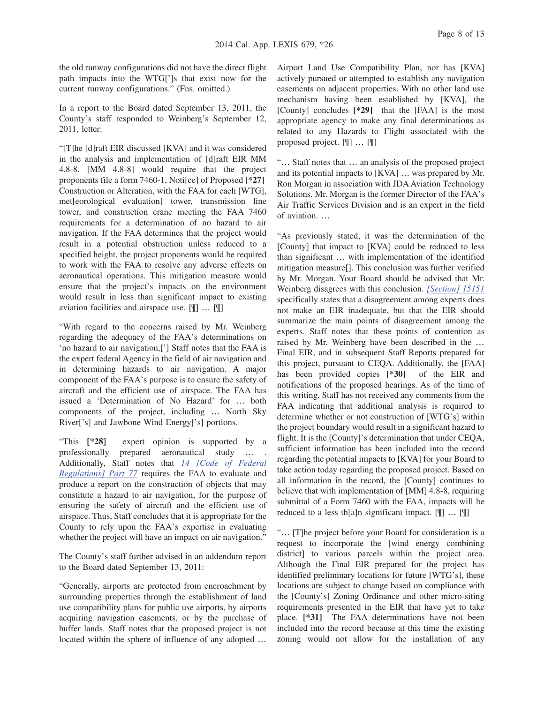the old runway configurations did not have the direct flight path impacts into the WTG[']s that exist now for the current runway configurations." (Fns. omitted.)

In a report to the Board dated September 13, 2011, the County's staff responded to Weinberg's September 12, 2011, letter:

"[T]he [d]raft EIR discussed [KVA] and it was considered in the analysis and implementation of [d]raft EIR MM 4.8-8. [MM 4.8-8] would require that the project proponents file a form 7460-1, Noti[ce] of Proposed **[\*27]** Construction or Alteration, with the FAA for each [WTG], met[eorological evaluation] tower, transmission line tower, and construction crane meeting the FAA 7460 requirements for a determination of no hazard to air navigation. If the FAA determines that the project would result in a potential obstruction unless reduced to a specified height, the project proponents would be required to work with the FAA to resolve any adverse effects on aeronautical operations. This mitigation measure would ensure that the project's impacts on the environment would result in less than significant impact to existing aviation facilities and airspace use. [¶] … [¶]

"With regard to the concerns raised by Mr. Weinberg regarding the adequacy of the FAA's determinations on 'no hazard to air navigation,['] Staff notes that the FAA is the expert federal Agency in the field of air navigation and in determining hazards to air navigation. A major component of the FAA's purpose is to ensure the safety of aircraft and the efficient use of airspace. The FAA has issued a 'Determination of No Hazard' for … both components of the project, including … North Sky River['s] and Jawbone Wind Energy['s] portions.

"This **[\*28]** expert opinion is supported by a professionally prepared aeronautical study … . Additionally, Staff notes that *14 [Code of Federal Regulations] Part 77* requires the FAA to evaluate and produce a report on the construction of objects that may constitute a hazard to air navigation, for the purpose of ensuring the safety of aircraft and the efficient use of airspace. Thus, Staff concludes that it is appropriate for the County to rely upon the FAA's expertise in evaluating whether the project will have an impact on air navigation."

The County's staff further advised in an addendum report to the Board dated September 13, 2011:

"Generally, airports are protected from encroachment by surrounding properties through the establishment of land use compatibility plans for public use airports, by airports acquiring navigation easements, or by the purchase of buffer lands. Staff notes that the proposed project is not located within the sphere of influence of any adopted …

Airport Land Use Compatibility Plan, nor has [KVA] actively pursued or attempted to establish any navigation easements on adjacent properties. With no other land use mechanism having been established by [KVA], the [County] concludes **[\*29]** that the [FAA] is the most appropriate agency to make any final determinations as related to any Hazards to Flight associated with the proposed project. [¶] … [¶]

"… Staff notes that … an analysis of the proposed project and its potential impacts to [KVA] … was prepared by Mr. Ron Morgan in association with JDA Aviation Technology Solutions. Mr. Morgan is the former Director of the FAA's Air Traffic Services Division and is an expert in the field of aviation. …

"As previously stated, it was the determination of the [County] that impact to [KVA] could be reduced to less than significant … with implementation of the identified mitigation measure[]. This conclusion was further verified by Mr. Morgan. Your Board should be advised that Mr. Weinberg disagrees with this conclusion. *[Section] 15151* specifically states that a disagreement among experts does not make an EIR inadequate, but that the EIR should summarize the main points of disagreement among the experts. Staff notes that these points of contention as raised by Mr. Weinberg have been described in the … Final EIR, and in subsequent Staff Reports prepared for this project, pursuant to CEQA. Additionally, the [FAA] has been provided copies **[\*30]** of the EIR and notifications of the proposed hearings. As of the time of this writing, Staff has not received any comments from the FAA indicating that additional analysis is required to determine whether or not construction of [WTG's] within the project boundary would result in a significant hazard to flight. It is the [County]'s determination that under CEQA, sufficient information has been included into the record regarding the potential impacts to [KVA] for your Board to take action today regarding the proposed project. Based on all information in the record, the [County] continues to believe that with implementation of [MM] 4.8-8, requiring submittal of a Form 7460 with the FAA, impacts will be reduced to a less th[a]n significant impact. [¶] … [¶]

"… [T]he project before your Board for consideration is a request to incorporate the [wind energy combining district] to various parcels within the project area. Although the Final EIR prepared for the project has identified preliminary locations for future [WTG's], these locations are subject to change based on compliance with the [County's] Zoning Ordinance and other micro-siting requirements presented in the EIR that have yet to take place. **[\*31]** The FAA determinations have not been included into the record because at this time the existing zoning would not allow for the installation of any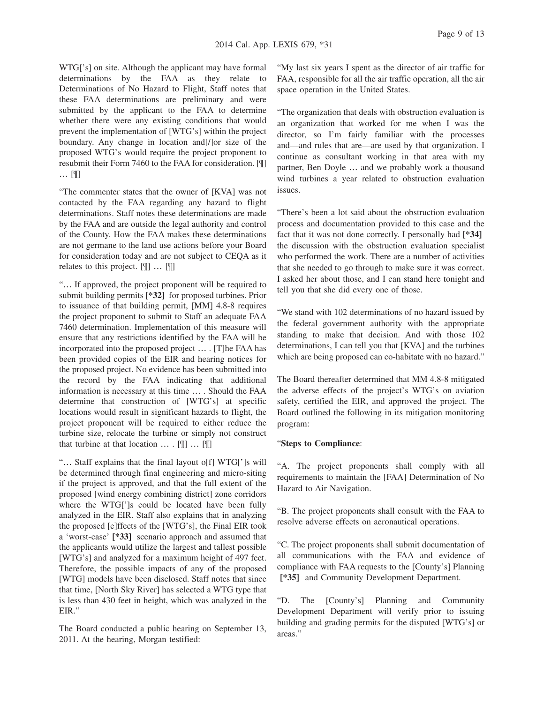Page 9 of 13

WTG['s] on site. Although the applicant may have formal determinations by the FAA as they relate to Determinations of No Hazard to Flight, Staff notes that these FAA determinations are preliminary and were submitted by the applicant to the FAA to determine whether there were any existing conditions that would prevent the implementation of [WTG's] within the project boundary. Any change in location and[/]or size of the proposed WTG's would require the project proponent to resubmit their Form 7460 to the FAA for consideration. [¶] … [¶]

"The commenter states that the owner of [KVA] was not contacted by the FAA regarding any hazard to flight determinations. Staff notes these determinations are made by the FAA and are outside the legal authority and control of the County. How the FAA makes these determinations are not germane to the land use actions before your Board for consideration today and are not subject to CEQA as it relates to this project. [¶] … [¶]

"… If approved, the project proponent will be required to submit building permits **[\*32]** for proposed turbines. Prior to issuance of that building permit, [MM] 4.8-8 requires the project proponent to submit to Staff an adequate FAA 7460 determination. Implementation of this measure will ensure that any restrictions identified by the FAA will be incorporated into the proposed project … . [T]he FAA has been provided copies of the EIR and hearing notices for the proposed project. No evidence has been submitted into the record by the FAA indicating that additional information is necessary at this time … . Should the FAA determine that construction of [WTG's] at specific locations would result in significant hazards to flight, the project proponent will be required to either reduce the turbine size, relocate the turbine or simply not construct that turbine at that location … . [¶] … [¶]

"… Staff explains that the final layout o[f] WTG[']s will be determined through final engineering and micro-siting if the project is approved, and that the full extent of the proposed [wind energy combining district] zone corridors where the WTG[']s could be located have been fully analyzed in the EIR. Staff also explains that in analyzing the proposed [e]ffects of the [WTG's], the Final EIR took a 'worst-case' **[\*33]** scenario approach and assumed that the applicants would utilize the largest and tallest possible [WTG's] and analyzed for a maximum height of 497 feet. Therefore, the possible impacts of any of the proposed [WTG] models have been disclosed. Staff notes that since that time, [North Sky River] has selected a WTG type that is less than 430 feet in height, which was analyzed in the EIR."

The Board conducted a public hearing on September 13, 2011. At the hearing, Morgan testified:

"My last six years I spent as the director of air traffic for FAA, responsible for all the air traffic operation, all the air space operation in the United States.

"The organization that deals with obstruction evaluation is an organization that worked for me when I was the director, so I'm fairly familiar with the processes and—and rules that are—are used by that organization. I continue as consultant working in that area with my partner, Ben Doyle … and we probably work a thousand wind turbines a year related to obstruction evaluation issues.

"There's been a lot said about the obstruction evaluation process and documentation provided to this case and the fact that it was not done correctly. I personally had **[\*34]** the discussion with the obstruction evaluation specialist who performed the work. There are a number of activities that she needed to go through to make sure it was correct. I asked her about those, and I can stand here tonight and tell you that she did every one of those.

"We stand with 102 determinations of no hazard issued by the federal government authority with the appropriate standing to make that decision. And with those 102 determinations, I can tell you that [KVA] and the turbines which are being proposed can co-habitate with no hazard."

The Board thereafter determined that MM 4.8-8 mitigated the adverse effects of the project's WTG's on aviation safety, certified the EIR, and approved the project. The Board outlined the following in its mitigation monitoring program:

### "**Steps to Compliance**:

"A. The project proponents shall comply with all requirements to maintain the [FAA] Determination of No Hazard to Air Navigation.

"B. The project proponents shall consult with the FAA to resolve adverse effects on aeronautical operations.

"C. The project proponents shall submit documentation of all communications with the FAA and evidence of compliance with FAA requests to the [County's] Planning **[\*35]** and Community Development Department.

"D. The [County's] Planning and Community Development Department will verify prior to issuing building and grading permits for the disputed [WTG's] or areas."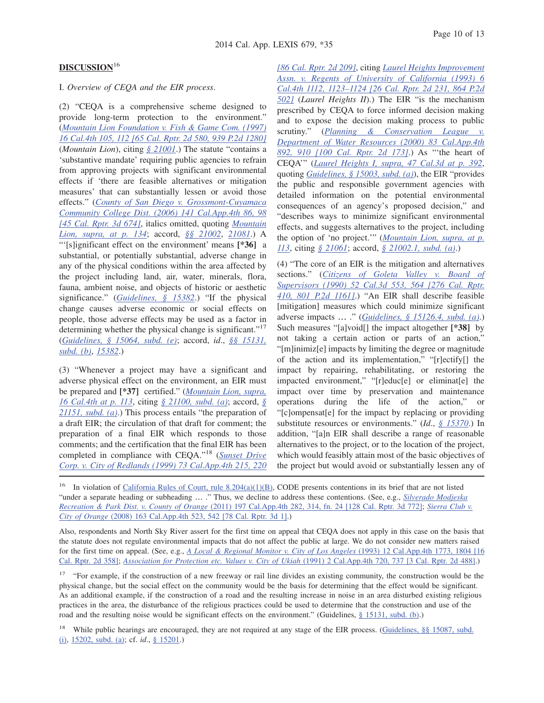# **DISCUSSION**<sup>16</sup>

### I. *Overview of CEQA and the EIR process*.

(2) "CEQA is a comprehensive scheme designed to provide long-term protection to the environment." (*Mountain Lion Foundation v. Fish & Game Com. (1997) 16 Cal.4th 105, 112 [65 Cal. Rptr. 2d 580, 939 P.2d 1280]* (*Mountain Lion*), citing *§ 21001*.) The statute "contains a 'substantive mandate' requiring public agencies to refrain from approving projects with significant environmental effects if 'there are feasible alternatives or mitigation measures' that can substantially lessen or avoid those effects." (*County of San Diego v. Grossmont-Cuyamaca Community College Dist. (2006) 141 Cal.App.4th 86, 98 [45 Cal. Rptr. 3d 674]*, italics omitted, quoting *Mountain Lion, supra, at p. 134*; accord, *§§ 21002*, *21081*.) A "'[s]ignificant effect on the environment' means **[\*36]** a substantial, or potentially substantial, adverse change in any of the physical conditions within the area affected by the project including land, air, water, minerals, flora, fauna, ambient noise, and objects of historic or aesthetic significance." (*Guidelines, § 15382*.) "If the physical change causes adverse economic or social effects on people, those adverse effects may be used as a factor in determining whether the physical change is significant."<sup>17</sup> (*Guidelines, § 15064, subd. (e)*; accord, *id*., *§§ 15131, subd. (b)*, *15382*.)

(3) "Whenever a project may have a significant and adverse physical effect on the environment, an EIR must be prepared and **[\*37]** certified." (*Mountain Lion, supra, 16 Cal.4th at p. 113*, citing *§ 21100, subd. (a)*; accord, *§ 21151, subd. (a)*.) This process entails "the preparation of a draft EIR; the circulation of that draft for comment; the preparation of a final EIR which responds to those comments; and the certification that the final EIR has been completed in compliance with CEQA."<sup>18</sup> (*Sunset Drive Corp. v. City of Redlands (1999) 73 Cal.App.4th 215, 220*

*[86 Cal. Rptr. 2d 209]*, citing *Laurel Heights Improvement Assn. v. Regents of University of California (1993) 6 Cal.4th 1112, 1123–1124 [26 Cal. Rptr. 2d 231, 864 P.2d 502]* (*Laurel Heights II*).) The EIR "is the mechanism prescribed by CEQA to force informed decision making and to expose the decision making process to public scrutiny." (*Planning & Conservation League v. Department of Water Resources (2000) 83 Cal.App.4th 892, 910 [100 Cal. Rptr. 2d 173]*.) As "'the heart of CEQA'" (*Laurel Heights I, supra, 47 Cal.3d at p. 392*, quoting *Guidelines, § 15003, subd. (a)*), the EIR "provides the public and responsible government agencies with detailed information on the potential environmental consequences of an agency's proposed decision," and "describes ways to minimize significant environmental effects, and suggests alternatives to the project, including the option of 'no project.'" (*Mountain Lion, supra, at p. 113*, citing *§ 21061*; accord, *§ 21002.1, subd. (a)*.)

(4) "The core of an EIR is the mitigation and alternatives sections." (*Citizens of Goleta Valley v. Board of Supervisors (1990) 52 Cal.3d 553, 564 [276 Cal. Rptr. 410, 801 P.2d 1161]*.) "An EIR shall describe feasible [mitigation] measures which could minimize significant adverse impacts … ." (*Guidelines, § 15126.4, subd. (a)*.) Such measures "[a]void[] the impact altogether **[\*38]** by not taking a certain action or parts of an action," "[m]inimiz[e] impacts by limiting the degree or magnitude of the action and its implementation," "[r]ectify[] the impact by repairing, rehabilitating, or restoring the impacted environment," "[r]educ[e] or eliminat[e] the impact over time by preservation and maintenance operations during the life of the action," or "[c]ompensat[e] for the impact by replacing or providing substitute resources or environments." (*Id*., *§ 15370*.) In addition, "[a]n EIR shall describe a range of reasonable alternatives to the project, or to the location of the project, which would feasibly attain most of the basic objectives of the project but would avoid or substantially lessen any of

<sup>16</sup> In violation of California Rules of Court, rule 8.204(a)(1)(B), CODE presents contentions in its brief that are not listed "under a separate heading or subheading … ." Thus, we decline to address these contentions. (See, e.g., *Silverado Modjeska Recreation & Park Dist. v. County of Orange* (2011) 197 Cal.App.4th 282, 314, fn. 24 [128 Cal. Rptr. 3d 772]; *Sierra Club v. City of Orange* (2008) 163 Cal.App.4th 523, 542 [78 Cal. Rptr. 3d 1].)

Also, respondents and North Sky River assert for the first time on appeal that CEQA does not apply in this case on the basis that the statute does not regulate environmental impacts that do not affect the public at large. We do not consider new matters raised for the first time on appeal. (See, e.g., *A Local & Regional Monitor v. City of Los Angeles* (1993) 12 Cal.App.4th 1773, 1804 [16 Cal. Rptr. 2d 358]; *Association for Protection etc. Values v. City of Ukiah* (1991) 2 Cal.App.4th 720, 737 [3 Cal. Rptr. 2d 488].)

<sup>17</sup> "For example, if the construction of a new freeway or rail line divides an existing community, the construction would be the physical change, but the social effect on the community would be the basis for determining that the effect would be significant. As an additional example, if the construction of a road and the resulting increase in noise in an area disturbed existing religious practices in the area, the disturbance of the religious practices could be used to determine that the construction and use of the road and the resulting noise would be significant effects on the environment." (Guidelines, § 15131, subd. (b).)

<sup>18</sup> While public hearings are encouraged, they are not required at any stage of the EIR process. (Guidelines, §§ 15087, subd. (i), 15202, subd. (a); cf. *id*., § 15201.)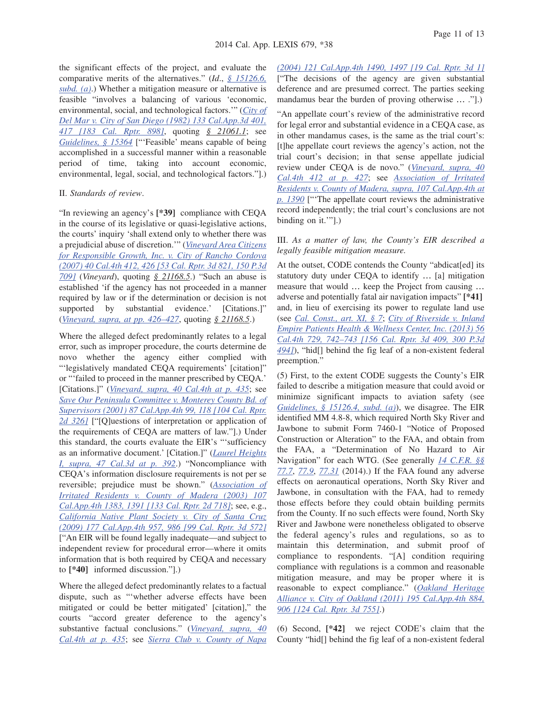the significant effects of the project, and evaluate the comparative merits of the alternatives." (*Id*., *§ 15126.6, subd. (a)*.) Whether a mitigation measure or alternative is feasible "involves a balancing of various 'economic, environmental, social, and technological factors.'" (*City of Del Mar v. City of San Diego (1982) 133 Cal.App.3d 401, 417 [183 Cal. Rptr. 898]*, quoting *§ 21061.1*; see *Guidelines, § 15364* ["'Feasible' means capable of being accomplished in a successful manner within a reasonable period of time, taking into account economic, environmental, legal, social, and technological factors."].)

#### II. *Standards of review*.

"In reviewing an agency's **[\*39]** compliance with CEQA in the course of its legislative or quasi-legislative actions, the courts' inquiry 'shall extend only to whether there was a prejudicial abuse of discretion.'" (*Vineyard Area Citizens for Responsible Growth, Inc. v. City of Rancho Cordova (2007) 40 Cal.4th 412, 426 [53 Cal. Rptr. 3d 821, 150 P.3d 709]* (*Vineyard*), quoting *§ 21168.5*.) "Such an abuse is established 'if the agency has not proceeded in a manner required by law or if the determination or decision is not supported by substantial evidence.' [Citations.]" (*Vineyard, supra, at pp. 426–427*, quoting *§ 21168.5*.)

Where the alleged defect predominantly relates to a legal error, such as improper procedure, the courts determine de novo whether the agency either complied with "'legislatively mandated CEQA requirements' [citation]" or "'failed to proceed in the manner prescribed by CEQA.' [Citations.]" (*Vineyard, supra, 40 Cal.4th at p. 435*; see *Save Our Peninsula Committee v. Monterey County Bd. of Supervisors (2001) 87 Cal.App.4th 99, 118 [104 Cal. Rptr. 2d 326]* ["[Q]uestions of interpretation or application of the requirements of CEQA are matters of law."].) Under this standard, the courts evaluate the EIR's "'sufficiency as an informative document.' [Citation.]" (*Laurel Heights I, supra, 47 Cal.3d at p. 392*.) "Noncompliance with CEQA's information disclosure requirements is not per se reversible; prejudice must be shown." (*Association of Irritated Residents v. County of Madera (2003) 107 Cal.App.4th 1383, 1391 [133 Cal. Rptr. 2d 718]*; see, e.g., *California Native Plant Society v. City of Santa Cruz (2009) 177 Cal.App.4th 957, 986 [99 Cal. Rptr. 3d 572]* ["An EIR will be found legally inadequate—and subject to independent review for procedural error—where it omits information that is both required by CEQA and necessary to **[\*40]** informed discussion."].)

Where the alleged defect predominantly relates to a factual dispute, such as "'whether adverse effects have been mitigated or could be better mitigated' [citation]," the courts "accord greater deference to the agency's substantive factual conclusions." (*Vineyard, supra, 40 Cal.4th at p. 435*; see *Sierra Club v. County of Napa*

*(2004) 121 Cal.App.4th 1490, 1497 [19 Cal. Rptr. 3d 1]* ["The decisions of the agency are given substantial deference and are presumed correct. The parties seeking mandamus bear the burden of proving otherwise … ."].)

"An appellate court's review of the administrative record for legal error and substantial evidence in a CEQA case, as in other mandamus cases, is the same as the trial court's: [t]he appellate court reviews the agency's action, not the trial court's decision; in that sense appellate judicial review under CEQA is de novo." (*Vineyard, supra, 40 Cal.4th 412 at p. 427*; see *Association of Irritated Residents v. County of Madera, supra, 107 Cal.App.4th at p. 1390* ["'The appellate court reviews the administrative record independently; the trial court's conclusions are not binding on it.'"].)

### III. *As a matter of law, the County's EIR described a legally feasible mitigation measure.*

At the outset, CODE contends the County "abdicat[ed] its statutory duty under CEQA to identify … [a] mitigation measure that would … keep the Project from causing … adverse and potentially fatal air navigation impacts" **[\*41]** and, in lieu of exercising its power to regulate land use (see *Cal. Const., art. XI, § 7*; *City of Riverside v. Inland Empire Patients Health & Wellness Center, Inc. (2013) 56 Cal.4th 729, 742–743 [156 Cal. Rptr. 3d 409, 300 P.3d 494]*), "hid[] behind the fig leaf of a non-existent federal preemption."

(5) First, to the extent CODE suggests the County's EIR failed to describe a mitigation measure that could avoid or minimize significant impacts to aviation safety (see *Guidelines, § 15126.4, subd. (a)*), we disagree. The EIR identified MM 4.8-8, which required North Sky River and Jawbone to submit Form 7460-1 "Notice of Proposed Construction or Alteration" to the FAA, and obtain from the FAA, a "Determination of No Hazard to Air Navigation" for each WTG. (See generally *14 C.F.R. §§ 77.7*, *77.9*, *77.31* (2014).) If the FAA found any adverse effects on aeronautical operations, North Sky River and Jawbone, in consultation with the FAA, had to remedy those effects before they could obtain building permits from the County. If no such effects were found, North Sky River and Jawbone were nonetheless obligated to observe the federal agency's rules and regulations, so as to maintain this determination, and submit proof of compliance to respondents. "[A] condition requiring compliance with regulations is a common and reasonable mitigation measure, and may be proper where it is reasonable to expect compliance." (*Oakland Heritage Alliance v. City of Oakland (2011) 195 Cal.App.4th 884, 906 [124 Cal. Rptr. 3d 755]*.)

(6) Second, **[\*42]** we reject CODE's claim that the County "hid[] behind the fig leaf of a non-existent federal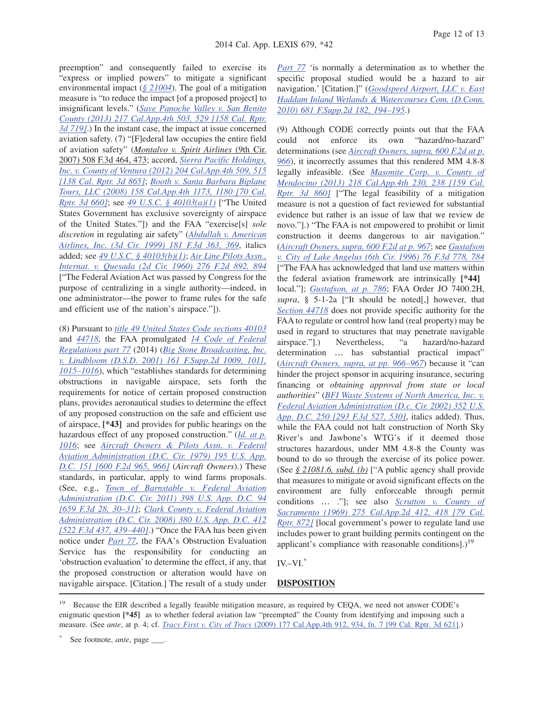preemption" and consequently failed to exercise its "express or implied powers" to mitigate a significant environmental impact (*§ 21004*). The goal of a mitigation measure is "to reduce the impact [of a proposed project] to insignificant levels." (*Save Panoche Valley v. San Benito County (2013) 217 Cal.App.4th 503, 529 [158 Cal. Rptr. 3d 719]*.) In the instant case, the impact at issue concerned aviation safety. (7) "[F]ederal law occupies the entire field of aviation safety" (*Montalvo v. Spirit Airlines* (9th Cir. 2007) 508 F.3d 464, 473; accord, *Sierra Pacific Holdings, Inc. v. County of Ventura (2012) 204 Cal.App.4th 509, 515 [138 Cal. Rptr. 3d 865]*; *Booth v. Santa Barbara Biplane Tours, LLC (2008) 158 Cal.App.4th 1173, 1180 [70 Cal. Rptr. 3d 660]*; see *49 U.S.C. § 40103(a)(1)* ["The United States Government has exclusive sovereignty of airspace of the United States."]) and the FAA "exercise[s] *sole discretion* in regulating air safety" (*Abdullah v. American Airlines, Inc. (3d Cir. 1999) 181 F.3d 363, 369*, italics added; see *49 U.S.C. § 40103(b)(1)*; *Air Line Pilots Assn., Internat. v. Quesada (2d Cir. 1960) 276 F.2d 892, 894* ["The Federal Aviation Act was passed by Congress for the purpose of centralizing in a single authority—indeed, in one administrator—the power to frame rules for the safe and efficient use of the nation's airspace."]).

(8) Pursuant to *title 49 United States Code sections 40103* and *44718*, the FAA promulgated *14 Code of Federal Regulations part 77* (2014) (*Big Stone Broadcasting, Inc. v. Lindbloom (D.S.D. 2001) 161 F.Supp.2d 1009, 1011, 1015–1016*), which "establishes standards for determining obstructions in navigable airspace, sets forth the requirements for notice of certain proposed construction plans, provides aeronautical studies to determine the effect of any proposed construction on the safe and efficient use of airspace, **[\*43]** and provides for public hearings on the hazardous effect of any proposed construction." (*Id. at p. 1016*; see *Aircraft Owners & Pilots Assn. v. Federal Aviation Administration (D.C. Cir. 1979) 195 U.S. App. D.C. 151 [600 F.2d 965, 966]* (*Aircraft Owners*).) These standards, in particular, apply to wind farms proposals. (See, e.g., *Town of Barnstable v. Federal Aviation Administration (D.C. Cir. 2011) 398 U.S. App. D.C. 94 [659 F.3d 28, 30–31]*; *Clark County v. Federal Aviation Administration (D.C. Cir. 2008) 380 U.S. App. D.C. 412 [522 F.3d 437, 439–440]*.) "Once the FAA has been given notice under *Part 77*, the FAA's Obstruction Evaluation Service has the responsibility for conducting an 'obstruction evaluation' to determine the effect, if any, that the proposed construction or alteration would have on navigable airspace. [Citation.] The result of a study under

*Part 77* 'is normally a determination as to whether the specific proposal studied would be a hazard to air navigation.' [Citation.]" (*Goodspeed Airport, LLC v. East Haddam Inland Wetlands & Watercourses Com. (D.Conn. 2010) 681 F.Supp.2d 182, 194–195*.)

(9) Although CODE correctly points out that the FAA could not enforce its own "hazard/no-hazard" determinations (see *Aircraft Owners, supra, 600 F.2d at p. 966*), it incorrectly assumes that this rendered MM 4.8-8 legally infeasible. (See *Masonite Corp. v. County of Mendocino (2013) 218 Cal.App.4th 230, 238 [159 Cal. Rptr. 3d 860]* ["The legal feasibility of a mitigation measure is not a question of fact reviewed for substantial evidence but rather is an issue of law that we review de novo."].) "The FAA is not empowered to prohibit or limit construction it deems dangerous to air navigation." (*Aircraft Owners, supra, 600 F.2d at p. 967*; see *Gustafson v. City of Lake Angelus (6th Cir. 1996) 76 F.3d 778, 784* ["The FAA has acknowledged that land use matters within the federal aviation framework are intrinsically **[\*44]** local."]; *Gustafson, at p. 786*; FAA Order JO 7400.2H, *supra*, § 5-1-2a ["It should be noted[,] however, that *Section 44718* does not provide specific authority for the FAA to regulate or control how land (real property) may be used in regard to structures that may penetrate navigable airspace."].) Nevertheless, "a hazard/no-hazard determination … has substantial practical impact" (*Aircraft Owners, supra, at pp. 966–967*) because it "can hinder the project sponsor in acquiring insurance, securing financing or *obtaining approval from state or local authorities*" (*BFI Waste Systems of North America, Inc. v. Federal Aviation Administration (D.c. Cir. 2002) 352 U.S. App. D.C. 250 [293 F.3d 527, 530]*, italics added). Thus, while the FAA could not halt construction of North Sky River's and Jawbone's WTG's if it deemed those structures hazardous, under MM 4.8-8 the County was bound to do so through the exercise of its police power. (See *§ 21081.6, subd. (b)* ["A public agency shall provide that measures to mitigate or avoid significant effects on the environment are fully enforceable through permit conditions … ."]; see also *Scrutton v. County of Sacramento (1969) 275 Cal.App.2d 412, 418 [79 Cal. Rptr. 872]* [local government's power to regulate land use includes power to grant building permits contingent on the applicant's compliance with reasonable conditions].)<sup>19</sup>

### $IV.-VI.$ <sup>\*</sup>

## **DISPOSITION**

<sup>19</sup> Because the EIR described a legally feasible mitigation measure, as required by CEQA, we need not answer CODE's enigmatic question **[\*45]** as to whether federal aviation law "preempted" the County from identifying and imposing such a measure. (See *ante*, at p. 4; cf. *Tracy First v. City of Tracy* (2009) 177 Cal.App.4th 912, 934, fn. 7 [99 Cal. Rptr. 3d 621].)

See footnote, *ante*, page  $\_\_$ .